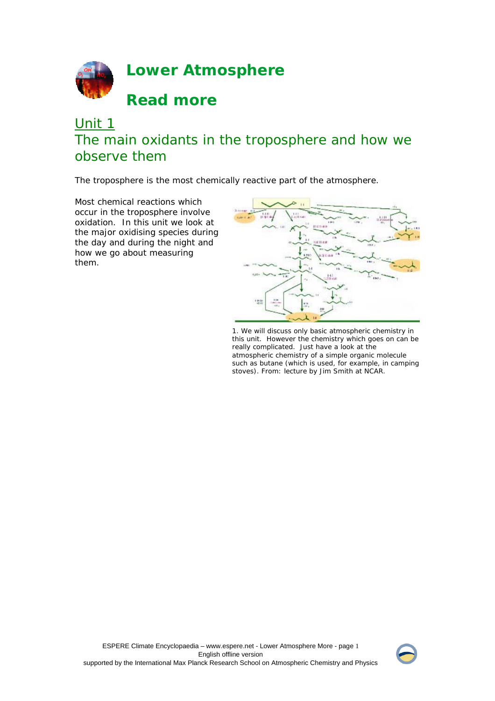

# Unit 1 The main oxidants in the troposphere and how we observe them

The troposphere is the most chemically reactive part of the atmosphere.

Most chemical reactions which occur in the troposphere involve oxidation. In this unit we look at the major oxidising species during the day and during the night and how we go about measuring them.



1. We will discuss only basic atmospheric chemistry in this unit. However the chemistry which goes on can be really complicated. Just have a look at the atmospheric chemistry of a simple organic molecule such as butane (which is used, for example, in camping stoves). From: lecture by Jim Smith at NCAR.

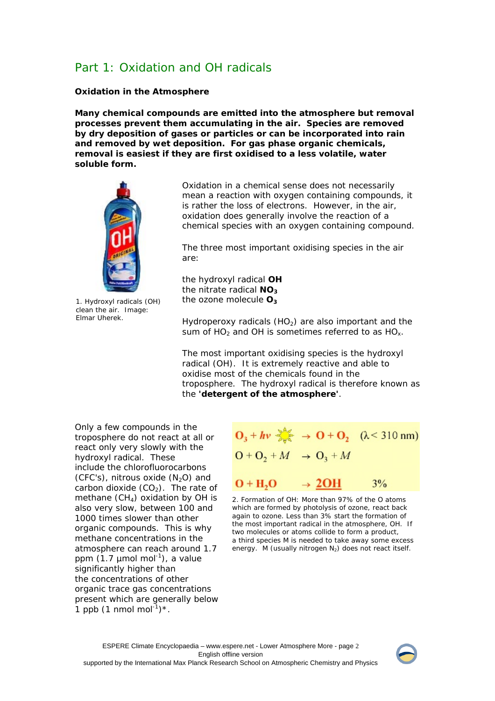## Part 1: Oxidation and OH radicals

## **Oxidation in the Atmosphere**

**Many chemical compounds are emitted into the atmosphere but removal processes prevent them accumulating in the air. Species are removed by dry deposition of gases or particles or can be incorporated into rain and removed by wet deposition. For gas phase organic chemicals, removal is easiest if they are first oxidised to a less volatile, water soluble form.**



1. Hydroxyl radicals (OH) clean the air. Image: Elmar Uherek.

Oxidation in a chemical sense does not necessarily mean a reaction with oxygen containing compounds, it is rather the loss of electrons. However, in the air, oxidation does generally involve the reaction of a chemical species with an oxygen containing compound.

The three most important oxidising species in the air are:

the hydroxyl radical **OH** the nitrate radical NO<sub>3</sub> the ozone molecule O<sub>3</sub>

Hydroperoxy radicals  $(HO<sub>2</sub>)$  are also important and the sum of HO<sub>2</sub> and OH is sometimes referred to as HO<sub> $x$ </sub>.

The most important oxidising species is the hydroxyl radical (OH). It is extremely reactive and able to oxidise most of the chemicals found in the troposphere. The hydroxyl radical is therefore known as the *'detergent of the atmosphere'*.

Only a few compounds in the troposphere do not react at all or react only very slowly with the hydroxyl radical. These include the chlorofluorocarbons (CFC's), nitrous oxide  $(N_2O)$  and carbon dioxide  $(CO<sub>2</sub>)$ . The rate of methane  $(CH<sub>4</sub>)$  oxidation by OH is also very slow, between 100 and 1000 times slower than other organic compounds. This is why methane concentrations in the atmosphere can reach around 1.7 ppm  $(1.7 \text{ \mu}$ mol mol<sup>-1</sup>), a value significantly higher than the concentrations of other organic trace gas concentrations present which are generally below 1 ppb  $(1 \text{ nmol mol}^{-1})^*$ .

| $O_3 + hv \rightarrow O + O_2$ ( $\lambda$ < 310 nm) |                   |    |
|------------------------------------------------------|-------------------|----|
| $O + O_2 + M \rightarrow O_3 + M$                    |                   |    |
| $O + H2O$                                            | $\rightarrow$ 20H | 3% |

2. Formation of OH: More than 97% of the O atoms which are formed by photolysis of ozone, react back again to ozone. Less than 3% start the formation of the most important radical in the atmosphere, OH. If two molecules or atoms collide to form a product, a third species M is needed to take away some excess energy. M (usually nitrogen  $N_2$ ) does not react itself.

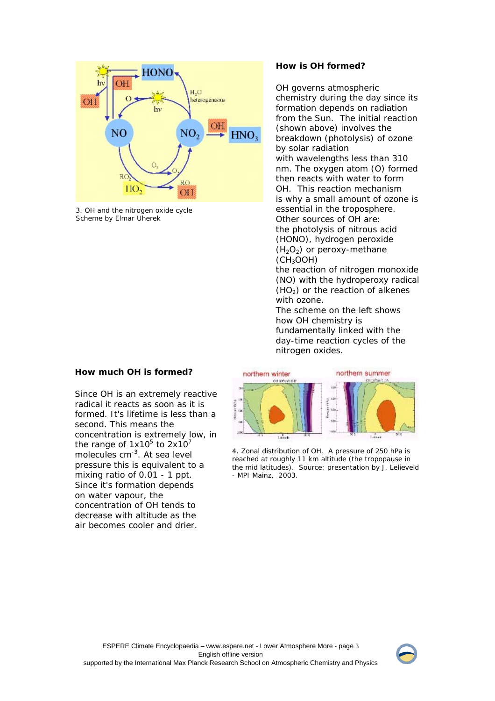

3. OH and the nitrogen oxide cycle Scheme by Elmar Uherek

## **How much OH is formed?**

Since OH is an extremely reactive radical it reacts as soon as it is formed. It's lifetime is less than a second. This means the concentration is extremely low, in the range of  $1x10^5$  to  $2x10^7$ molecules cm-3. At sea level pressure this is equivalent to a mixing ratio of 0.01 - 1 ppt. Since it's formation depends on water vapour, the concentration of OH tends to decrease with altitude as the air becomes cooler and drier.

## **How is OH formed?**

OH governs atmospheric chemistry during the day since its formation depends on radiation from the Sun. The initial reaction (shown above) involves the breakdown (photolysis) of ozone by solar radiation with wavelengths less than 310 nm. The oxygen atom (O) formed then reacts with water to form OH. This reaction mechanism is why a small amount of ozone is essential in the troposphere. Other sources of OH are: the photolysis of nitrous acid (HONO), hydrogen peroxide  $(H<sub>2</sub>O<sub>2</sub>)$  or peroxy-methane  $(CH<sub>3</sub>OOH)$ 

the reaction of nitrogen monoxide (NO) with the hydroperoxy radical  $(HO<sub>2</sub>)$  or the reaction of alkenes with ozone.

The scheme on the left shows how OH chemistry is fundamentally linked with the day-time reaction cycles of the nitrogen oxides.



4. Zonal distribution of OH. A pressure of 250 hPa is reached at roughly 11 km altitude (the tropopause in the mid latitudes). Source: presentation by J. Lelieveld - MPI Mainz, 2003.

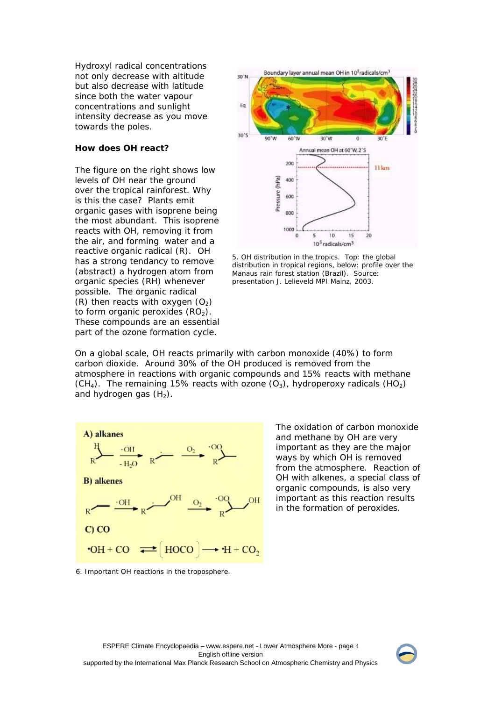Hydroxyl radical concentrations not only decrease with altitude but also decrease with latitude since both the water vapour concentrations and sunlight intensity decrease as you move towards the poles.

## **How does OH react?**

The figure on the right shows low levels of OH near the ground over the tropical rainforest. Why is this the case? Plants emit organic gases with isoprene being the most abundant. This isoprene reacts with OH, removing it from the air, and forming water and a reactive organic radical (R). OH has a strong tendancy to remove (abstract) a hydrogen atom from organic species (RH) whenever possible. The organic radical (R) then reacts with oxygen  $(O_2)$ to form organic peroxides  $(RO<sub>2</sub>)$ . These compounds are an essential part of the ozone formation cycle.



5. OH distribution in the tropics. Top: the global distribution in tropical regions, below: profile over the Manaus rain forest station (Brazil). Source: presentation J. Lelieveld MPI Mainz, 2003.

On a global scale, OH reacts primarily with carbon monoxide (40%) to form carbon dioxide. Around 30% of the OH produced is removed from the atmosphere in reactions with organic compounds and 15% reacts with methane  $(CH<sub>4</sub>)$ . The remaining 15% reacts with ozone  $(O<sub>3</sub>)$ , hydroperoxy radicals  $(HO<sub>2</sub>)$ and hydrogen gas  $(H<sub>2</sub>)$ .



The oxidation of carbon monoxide and methane by OH are very important as they are the major ways by which OH is removed from the atmosphere. Reaction of OH with alkenes, a special class of organic compounds, is also very important as this reaction results in the formation of peroxides.

6. Important OH reactions in the troposphere.

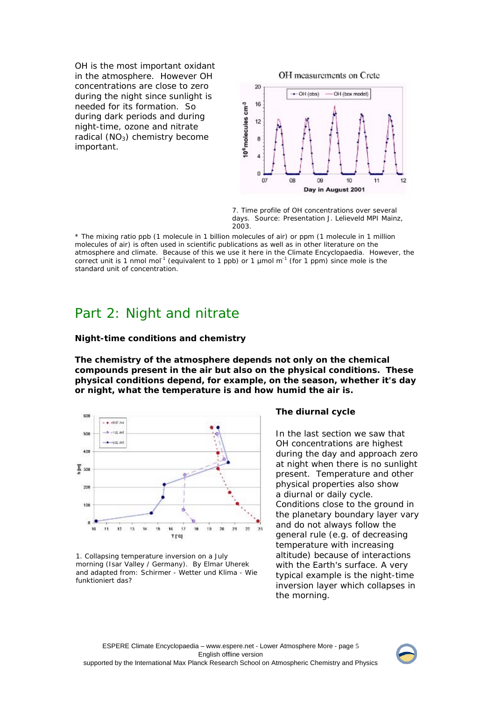OH is the most important oxidant in the atmosphere. However OH concentrations are close to zero during the night since sunlight is needed for its formation. So during dark periods and during night-time, ozone and nitrate radical  $(NO<sub>3</sub>)$  chemistry become important.



7. Time profile of OH concentrations over several days. Source: Presentation J. Lelieveld MPI Mainz, 2003.

\* The mixing ratio ppb (1 molecule in 1 billion molecules of air) or ppm (1 molecule in 1 million molecules of air) is often used in scientific publications as well as in other literature on the atmosphere and climate. Because of this we use it here in the Climate Encyclopaedia. However, the correct unit is 1 nmol mol<sup>-1</sup> (equivalent to 1 ppb) or 1  $\mu$ mol m<sup>-1</sup> (for 1 ppm) since mole is the standard unit of concentration.

## Part 2: Night and nitrate

### **Night-time conditions and chemistry**

**The chemistry of the atmosphere depends not only on the chemical compounds present in the air but also on the physical conditions. These physical conditions depend, for example, on the season, whether it's day or night, what the temperature is and how humid the air is.**



1. Collapsing temperature inversion on a July morning (Isar Valley / Germany). By Elmar Uherek and adapted from: Schirmer - Wetter und Klima - Wie funktioniert das?

## **The diurnal cycle**

In the last section we saw that OH concentrations are highest during the day and approach zero at night when there is no sunlight present. Temperature and other physical properties also show a diurnal or daily cycle. Conditions close to the ground in the planetary boundary layer vary and do not always follow the general rule (e.g. of decreasing temperature with increasing altitude) because of interactions with the Earth's surface. A very typical example is the night-time inversion layer which collapses in the morning.

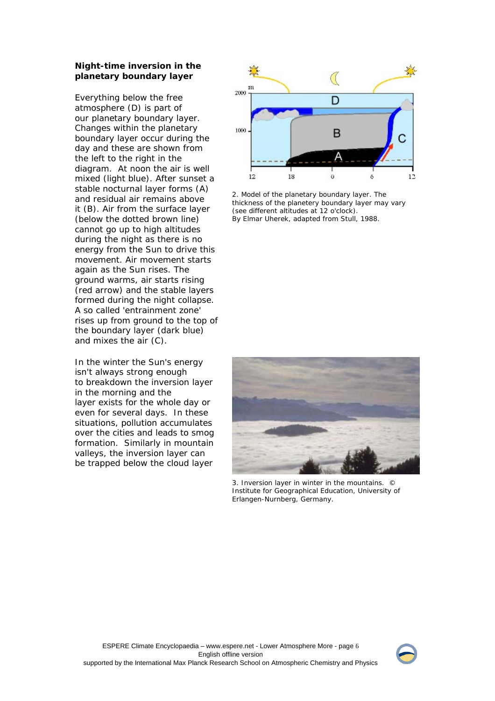## **Night-time inversion in the planetary boundary layer**

Everything below the free atmosphere (D) is part of our planetary boundary layer. Changes within the planetary boundary layer occur during the day and these are shown from the left to the right in the diagram. At noon the air is well mixed (light blue). After sunset a stable nocturnal layer forms (A) and residual air remains above it (B). Air from the surface layer (below the dotted brown line) cannot go up to high altitudes during the night as there is no energy from the Sun to drive this movement. Air movement starts again as the Sun rises. The ground warms, air starts rising (red arrow) and the stable layers formed during the night collapse. A so called 'entrainment zone' rises up from ground to the top of the boundary layer (dark blue) and mixes the air (C).

In the winter the Sun's energy isn't always strong enough to breakdown the inversion layer in the morning and the layer exists for the whole day or even for several days. In these situations, pollution accumulates over the cities and leads to smog formation. Similarly in mountain valleys, the inversion layer can be trapped below the cloud layer



2. Model of the planetary boundary layer. The thickness of the planetery boundary layer may vary (see different altitudes at 12 o'clock). By Elmar Uherek, adapted from Stull, 1988.



 3. Inversion layer in winter in the mountains. © Institute for Geographical Education, University of Erlangen-Nurnberg, Germany.

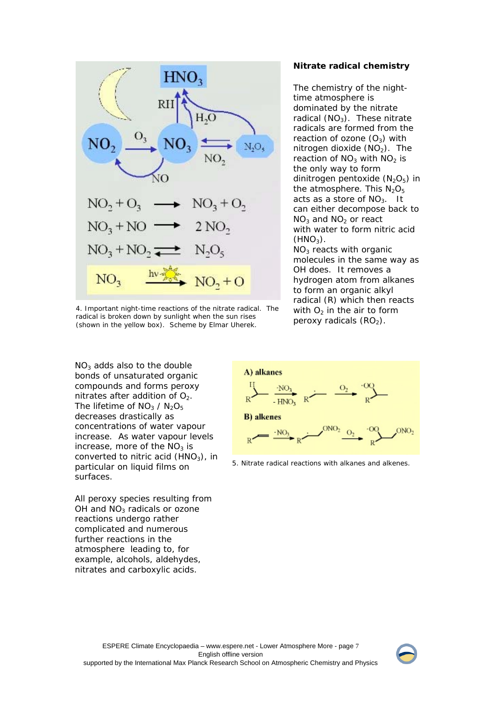

4. Important night-time reactions of the nitrate radical. The radical is broken down by sunlight when the sun rises (shown in the yellow box). Scheme by Elmar Uherek.

 $NO<sub>3</sub>$  adds also to the double bonds of unsaturated organic compounds and forms peroxy nitrates after addition of  $O<sub>2</sub>$ . The lifetime of  $NO<sub>3</sub> / N<sub>2</sub>O<sub>5</sub>$ decreases drastically as concentrations of water vapour increase. As water vapour levels increase, more of the  $NO<sub>3</sub>$  is converted to nitric acid  $(HNO<sub>3</sub>)$ , in particular on liquid films on surfaces.

All peroxy species resulting from OH and  $NO<sub>3</sub>$  radicals or ozone reactions undergo rather complicated and numerous further reactions in the atmosphere leading to, for example, alcohols, aldehydes, nitrates and carboxylic acids.

#### **Nitrate radical chemistry**

The chemistry of the nighttime atmosphere is dominated by the nitrate radical  $(NO<sub>3</sub>)$ . These nitrate radicals are formed from the reaction of ozone  $(O_3)$  with nitrogen dioxide  $(NO<sub>2</sub>)$ . The reaction of  $NO<sub>3</sub>$  with  $NO<sub>2</sub>$  is the only way to form dinitrogen pentoxide  $(N_2O_5)$  in the atmosphere. This  $N_2O_5$ acts as a store of  $NO<sub>3</sub>$ . It can either decompose back to  $NO<sub>3</sub>$  and  $NO<sub>2</sub>$  or react with water to form nitric acid  $(HNO<sub>3</sub>)$ .

 $NO<sub>3</sub>$  reacts with organic molecules in the same way as OH does. It removes a hydrogen atom from alkanes to form an organic alkyl radical (R) which then reacts with  $O<sub>2</sub>$  in the air to form peroxy radicals  $(RO<sub>2</sub>)$ .



5. Nitrate radical reactions with alkanes and alkenes.

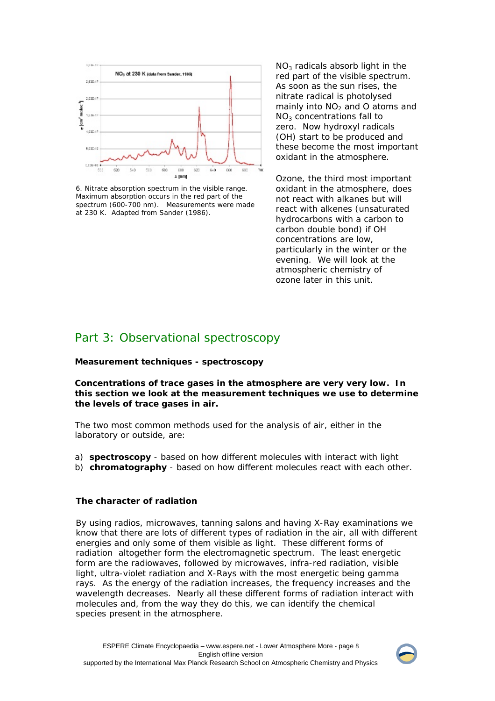

6. Nitrate absorption spectrum in the visible range. Maximum absorption occurs in the red part of the spectrum (600-700 nm). Measurements were made at 230 K. Adapted from Sander (1986).

 $NO<sub>3</sub>$  radicals absorb light in the red part of the visible spectrum. As soon as the sun rises, the nitrate radical is photolysed mainly into  $NO<sub>2</sub>$  and O atoms and NO3 concentrations fall to zero. Now hydroxyl radicals (OH) start to be produced and these become the most important oxidant in the atmosphere.

Ozone, the third most important oxidant in the atmosphere, does not react with alkanes but will react with alkenes (unsaturated hydrocarbons with a carbon to carbon double bond) if OH concentrations are low, particularly in the winter or the evening. We will look at the atmospheric chemistry of ozone later in this unit.

## Part 3: Observational spectroscopy

## **Measurement techniques - spectroscopy**

**Concentrations of trace gases in the atmosphere are very very low. In this section we look at the measurement techniques we use to determine the levels of trace gases in air.**

The two most common methods used for the analysis of air, either in the laboratory or outside, are:

- a) **spectroscopy** based on how different molecules with interact with light
- b) **chromatography** based on how different molecules react with each other.

## **The character of radiation**

By using radios, microwaves, tanning salons and having X-Ray examinations we know that there are lots of different types of radiation in the air, all with different energies and only some of them visible as light. These different forms of radiation altogether form the electromagnetic spectrum. The least energetic form are the radiowaves, followed by microwaves, infra-red radiation, visible light, ultra-violet radiation and X-Rays with the most energetic being gamma rays. As the energy of the radiation increases, the frequency increases and the wavelength decreases. Nearly all these different forms of radiation interact with molecules and, from the way they do this, we can identify the chemical species present in the atmosphere.

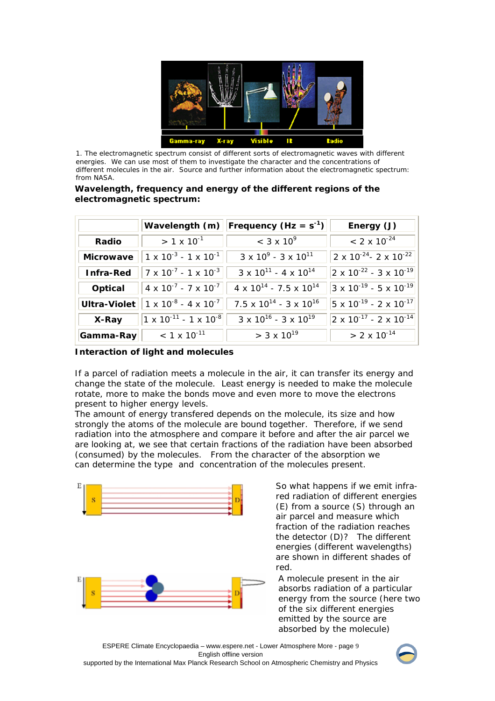

1. The electromagnetic spectrum consist of different sorts of electromagnetic waves with different energies. We can use most of them to investigate the character and the concentrations of different molecules in the air. Source and further information about the electromagnetic spectrum: from NASA.

## **Wavelength, frequency and energy of the different regions of the electromagnetic spectrum:**

|                  |                                         | Wavelength (m)   Frequency (Hz = $s^{-1}$ ) | Energy (J)                                  |
|------------------|-----------------------------------------|---------------------------------------------|---------------------------------------------|
| Radio            | $> 1 \times 10^{-1}$                    | $<$ 3 x 10 <sup>9</sup>                     | $< 2 \times 10^{-24}$                       |
| <b>Microwave</b> | $1 \times 10^{-3}$ - $1 \times 10^{-1}$ | $3 \times 10^{9} - 3 \times 10^{11}$        | $2 \times 10^{-24}$ - 2 x $10^{-22}$        |
| Infra-Red        | $7 \times 10^{-7}$ - 1 x $10^{-3}$      | $3 \times 10^{11}$ - 4 x $10^{14}$          | $2 \times 10^{-22}$ - 3 x 10 <sup>-19</sup> |
| Optical          | $4 \times 10^{-7} - 7 \times 10^{-7}$   | $4 \times 10^{14}$ - 7.5 x 10 <sup>14</sup> | $3 \times 10^{-19} - 5 \times 10^{-19}$     |
| Ultra-Violet     | $1 \times 10^{-8}$ - 4 x $10^{-7}$      | $7.5 \times 10^{14} - 3 \times 10^{16}$     | $5 \times 10^{-19} - 2 \times 10^{-17}$     |
| X-Ray            | $1 \times 10^{-11}$ - 1 x $10^{-8}$     | $3 \times 10^{16}$ - 3 x $10^{19}$          | $2 \times 10^{-17}$ - 2 x 10 <sup>-14</sup> |
| Gamma-Ray        | $< 1 \times 10^{-11}$                   | $>$ 3 x 10 <sup>19</sup>                    | $> 2 \times 10^{-14}$                       |

## **Interaction of light and molecules**

If a parcel of radiation meets a molecule in the air, it can transfer its energy and change the state of the molecule. Least energy is needed to make the molecule rotate, more to make the bonds move and even more to move the electrons present to higher energy levels.

The amount of energy transfered depends on the molecule, its size and how strongly the atoms of the molecule are bound together. Therefore, if we send radiation into the atmosphere and compare it before and after the air parcel we are looking at, we see that certain fractions of the radiation have been absorbed (consumed) by the molecules. From the character of the absorption we can determine the type and concentration of the molecules present.



So what happens if we emit infrared radiation of different energies (E) from a source (S) through an air parcel and measure which fraction of the radiation reaches the detector (D)? The different energies (different wavelengths) are shown in different shades of red.

A molecule present in the air absorbs radiation of a particular energy from the source (here two of the six different energies emitted by the source are absorbed by the molecule)

ESPERE Climate Encyclopaedia – www.espere.net - Lower Atmosphere More - page 9 English offline version

supported by the International Max Planck Research School on Atmospheric Chemistry and Physics

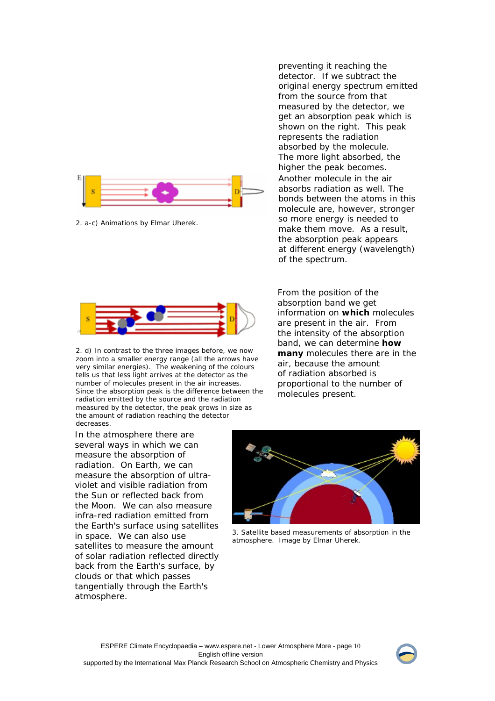

2. a-c) Animations by Elmar Uherek.



2. d) In contrast to the three images before, we now zoom into a smaller energy range (all the arrows have very similar energies). The weakening of the colours tells us that less light arrives at the detector as the number of molecules present in the air increases. Since the absorption peak is the difference between the radiation emitted by the source and the radiation measured by the detector, the peak grows in size as the amount of radiation reaching the detector decreases.

preventing it reaching the detector. If we subtract the original energy spectrum emitted from the source from that measured by the detector, we get an absorption peak which is shown on the right. This peak represents the radiation absorbed by the molecule. The more light absorbed, the higher the peak becomes. Another molecule in the air absorbs radiation as well. The bonds between the atoms in this molecule are, however, stronger so more energy is needed to make them move. As a result, the absorption peak appears at different energy (wavelength) of the spectrum.

From the position of the absorption band we get information on **which** molecules are present in the air. From the intensity of the absorption band, we can determine **how many** molecules there are in the air, because the amount of radiation absorbed is proportional to the number of molecules present.

In the atmosphere there are several ways in which we can measure the absorption of radiation. On Earth, we can measure the absorption of ultraviolet and visible radiation from the Sun or reflected back from the Moon. We can also measure infra-red radiation emitted from the Earth's surface using satellites in space. We can also use satellites to measure the amount of solar radiation reflected directly back from the Earth's surface, by clouds or that which passes tangentially through the Earth's atmosphere.



3. Satellite based measurements of absorption in the atmosphere. Image by Elmar Uherek.

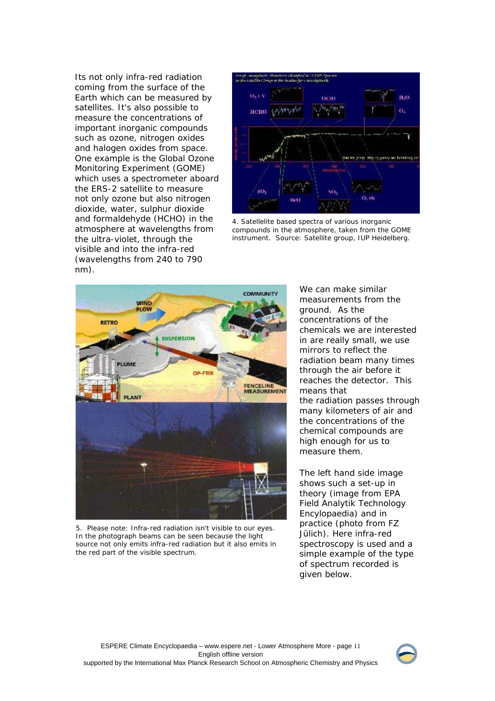Its not only infra-red radiation coming from the surface of the Earth which can be measured by satellites. It's also possible to measure the concentrations of important inorganic compounds such as ozone, nitrogen oxides and halogen oxides from space. One example is the Global Ozone Monitoring Experiment (GOME) which uses a spectrometer aboard the ERS-2 satellite to measure not only ozone but also nitrogen dioxide, water, sulphur dioxide and formaldehyde (HCHO) in the atmosphere at wavelengths from the ultra-violet, through the visible and into the infra-red (wavelengths from 240 to 790 nm).



4. Satellelite based spectra of various inorganic compounds in the atmosphere, taken from the GOME instrument. Source: Satellite group, IUP Heidelberg.



5. Please note: Infra-red radiation isn't visible to our eyes. In the photograph beams can be seen because the light source not only emits infra-red radiation but it also emits in the red part of the visible spectrum.

We can make similar measurements from the ground. As the concentrations of the chemicals we are interested in are really small, we use mirrors to reflect the radiation beam many times through the air before it reaches the detector. This means that the radiation passes through many kilometers of air and the concentrations of the chemical compounds are high enough for us to measure them.

The left hand side image shows such a set-up in theory (image from EPA Field Analytik Technology Encylopaedia) and in practice (photo from FZ Jülich). Here infra-red spectroscopy is used and a simple example of the type of spectrum recorded is given below.